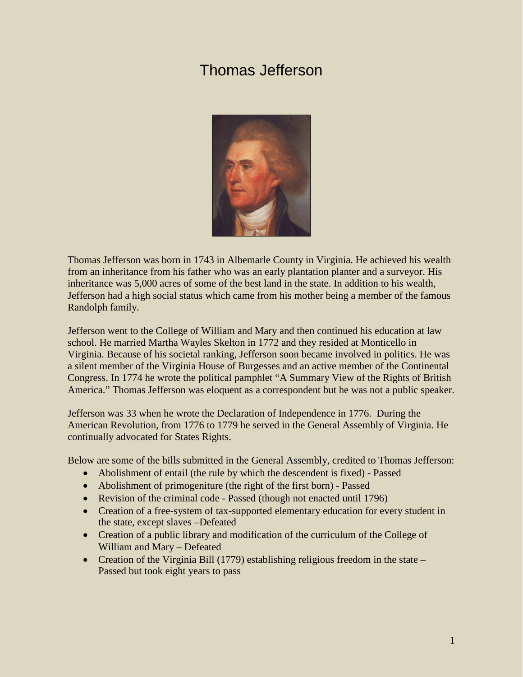# Thomas Jefferson



Thomas Jefferson was born in 1743 in Albemarle County in Virginia. He achieved his wealth from an inheritance from his father who was an early plantation planter and a surveyor. His inheritance was 5,000 acres of some of the best land in the state. In addition to his wealth, Jefferson had a high social status which came from his mother being a member of the famous Randolph family.

Jefferson went to the College of William and Mary and then continued his education at law school. He married Martha Wayles Skelton in 1772 and they resided at Monticello in Virginia. Because of his societal ranking, Jefferson soon became involved in politics. He was a silent member of the Virginia House of Burgesses and an active member of the Continental Congress. In 1774 he wrote the political pamphlet "A Summary View of the Rights of British America." Thomas Jefferson was eloquent as a correspondent but he was not a public speaker.

Jefferson was 33 when he wrote the Declaration of Independence in 1776. During the American Revolution, from 1776 to 1779 he served in the General Assembly of Virginia. He continually advocated for States Rights.

Below are some of the bills submitted in the General Assembly, credited to Thomas Jefferson:

- Abolishment of entail (the rule by which the descendent is fixed) Passed
- Abolishment of primogeniture (the right of the first born) Passed
- Revision of the criminal code Passed (though not enacted until 1796)
- Creation of a free-system of tax-supported elementary education for every student in the state, except slaves –Defeated
- Creation of a public library and modification of the curriculum of the College of William and Mary – Defeated
- Creation of the Virginia Bill (1779) establishing religious freedom in the state Passed but took eight years to pass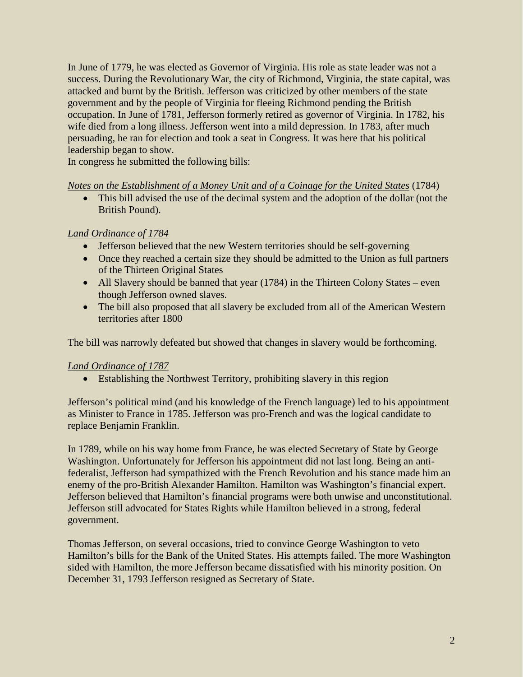In June of 1779, he was elected as Governor of Virginia. His role as state leader was not a success. During the Revolutionary War, the city of Richmond, Virginia, the state capital, was attacked and burnt by the British. Jefferson was criticized by other members of the state government and by the people of Virginia for fleeing Richmond pending the British occupation. In June of 1781, Jefferson formerly retired as governor of Virginia. In 1782, his wife died from a long illness. Jefferson went into a mild depression. In 1783, after much persuading, he ran for election and took a seat in Congress. It was here that his political leadership began to show.

In congress he submitted the following bills:

#### *Notes on the Establishment of a Money Unit and of a Coinage for the United States* (1784)

• This bill advised the use of the decimal system and the adoption of the dollar (not the British Pound).

#### *Land Ordinance of 1784*

- Jefferson believed that the new Western territories should be self-governing
- Once they reached a certain size they should be admitted to the Union as full partners of the Thirteen Original States
- All Slavery should be banned that year (1784) in the Thirteen Colony States even though Jefferson owned slaves.
- The bill also proposed that all slavery be excluded from all of the American Western territories after 1800

The bill was narrowly defeated but showed that changes in slavery would be forthcoming.

#### *Land Ordinance of 1787*

• Establishing the Northwest Territory, prohibiting slavery in this region

Jefferson's political mind (and his knowledge of the French language) led to his appointment as Minister to France in 1785. Jefferson was pro-French and was the logical candidate to replace Benjamin Franklin.

In 1789, while on his way home from France, he was elected Secretary of State by George Washington. Unfortunately for Jefferson his appointment did not last long. Being an antifederalist, Jefferson had sympathized with the French Revolution and his stance made him an enemy of the pro-British Alexander Hamilton. Hamilton was Washington's financial expert. Jefferson believed that Hamilton's financial programs were both unwise and unconstitutional. Jefferson still advocated for States Rights while Hamilton believed in a strong, federal government.

Thomas Jefferson, on several occasions, tried to convince George Washington to veto Hamilton's bills for the Bank of the United States. His attempts failed. The more Washington sided with Hamilton, the more Jefferson became dissatisfied with his minority position. On December 31, 1793 Jefferson resigned as Secretary of State.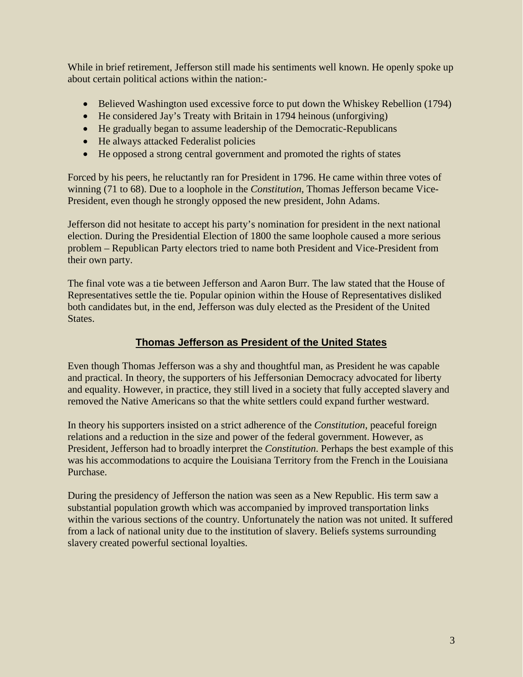While in brief retirement, Jefferson still made his sentiments well known. He openly spoke up about certain political actions within the nation:-

- Believed Washington used excessive force to put down the Whiskey Rebellion (1794)
- He considered Jay's Treaty with Britain in 1794 heinous (unforgiving)
- He gradually began to assume leadership of the Democratic-Republicans
- He always attacked Federalist policies
- He opposed a strong central government and promoted the rights of states

Forced by his peers, he reluctantly ran for President in 1796. He came within three votes of winning (71 to 68). Due to a loophole in the *Constitution*, Thomas Jefferson became Vice-President, even though he strongly opposed the new president, John Adams.

Jefferson did not hesitate to accept his party's nomination for president in the next national election. During the Presidential Election of 1800 the same loophole caused a more serious problem – Republican Party electors tried to name both President and Vice-President from their own party.

The final vote was a tie between Jefferson and Aaron Burr. The law stated that the House of Representatives settle the tie. Popular opinion within the House of Representatives disliked both candidates but, in the end, Jefferson was duly elected as the President of the United States.

## **Thomas Jefferson as President of the United States**

Even though Thomas Jefferson was a shy and thoughtful man, as President he was capable and practical. In theory, the supporters of his Jeffersonian Democracy advocated for liberty and equality. However, in practice, they still lived in a society that fully accepted slavery and removed the Native Americans so that the white settlers could expand further westward.

In theory his supporters insisted on a strict adherence of the *Constitution*, peaceful foreign relations and a reduction in the size and power of the federal government. However, as President, Jefferson had to broadly interpret the *Constitution*. Perhaps the best example of this was his accommodations to acquire the Louisiana Territory from the French in the Louisiana Purchase.

During the presidency of Jefferson the nation was seen as a New Republic. His term saw a substantial population growth which was accompanied by improved transportation links within the various sections of the country. Unfortunately the nation was not united. It suffered from a lack of national unity due to the institution of slavery. Beliefs systems surrounding slavery created powerful sectional loyalties.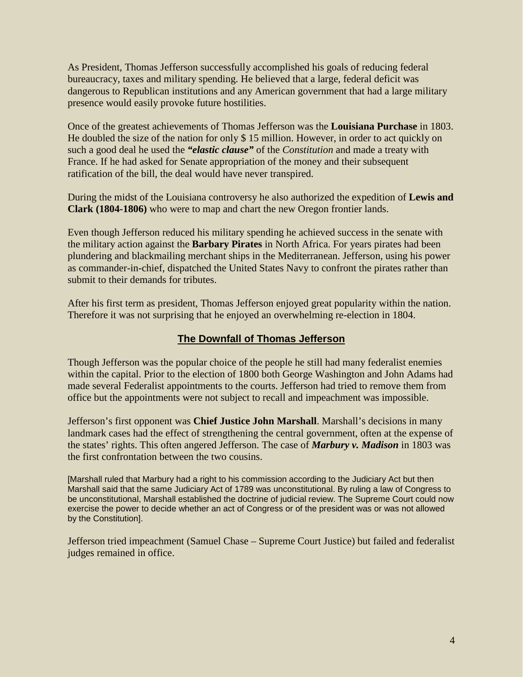As President, Thomas Jefferson successfully accomplished his goals of reducing federal bureaucracy, taxes and military spending. He believed that a large, federal deficit was dangerous to Republican institutions and any American government that had a large military presence would easily provoke future hostilities.

Once of the greatest achievements of Thomas Jefferson was the **Louisiana Purchase** in 1803. He doubled the size of the nation for only \$ 15 million. However, in order to act quickly on such a good deal he used the *"elastic clause"* of the *Constitution* and made a treaty with France. If he had asked for Senate appropriation of the money and their subsequent ratification of the bill, the deal would have never transpired.

During the midst of the Louisiana controversy he also authorized the expedition of **Lewis and Clark (1804-1806)** who were to map and chart the new Oregon frontier lands.

Even though Jefferson reduced his military spending he achieved success in the senate with the military action against the **Barbary Pirates** in North Africa. For years pirates had been plundering and blackmailing merchant ships in the Mediterranean. Jefferson, using his power as commander-in-chief, dispatched the United States Navy to confront the pirates rather than submit to their demands for tributes.

After his first term as president, Thomas Jefferson enjoyed great popularity within the nation. Therefore it was not surprising that he enjoyed an overwhelming re-election in 1804.

### **The Downfall of Thomas Jefferson**

Though Jefferson was the popular choice of the people he still had many federalist enemies within the capital. Prior to the election of 1800 both George Washington and John Adams had made several Federalist appointments to the courts. Jefferson had tried to remove them from office but the appointments were not subject to recall and impeachment was impossible.

Jefferson's first opponent was **Chief Justice John Marshall**. Marshall's decisions in many landmark cases had the effect of strengthening the central government, often at the expense of the states' rights. This often angered Jefferson. The case of *Marbury v. Madison* in 1803 was the first confrontation between the two cousins.

[Marshall ruled that Marbury had a right to his commission according to the Judiciary Act but then Marshall said that the same Judiciary Act of 1789 was unconstitutional. By ruling a law of Congress to be unconstitutional, Marshall established the doctrine of judicial review. The Supreme Court could now exercise the power to decide whether an act of Congress or of the president was or was not allowed by the Constitution].

Jefferson tried impeachment (Samuel Chase – Supreme Court Justice) but failed and federalist judges remained in office.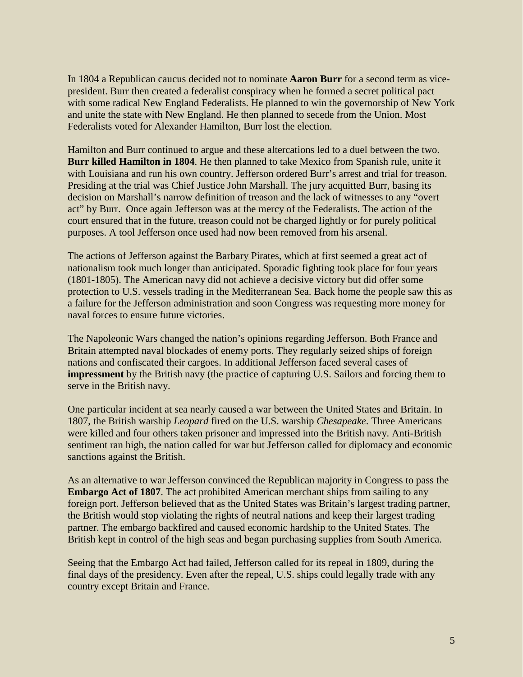In 1804 a Republican caucus decided not to nominate **Aaron Burr** for a second term as vicepresident. Burr then created a federalist conspiracy when he formed a secret political pact with some radical New England Federalists. He planned to win the governorship of New York and unite the state with New England. He then planned to secede from the Union. Most Federalists voted for Alexander Hamilton, Burr lost the election.

Hamilton and Burr continued to argue and these altercations led to a duel between the two. **Burr killed Hamilton in 1804**. He then planned to take Mexico from Spanish rule, unite it with Louisiana and run his own country. Jefferson ordered Burr's arrest and trial for treason. Presiding at the trial was Chief Justice John Marshall. The jury acquitted Burr, basing its decision on Marshall's narrow definition of treason and the lack of witnesses to any "overt act" by Burr. Once again Jefferson was at the mercy of the Federalists. The action of the court ensured that in the future, treason could not be charged lightly or for purely political purposes. A tool Jefferson once used had now been removed from his arsenal.

The actions of Jefferson against the Barbary Pirates, which at first seemed a great act of nationalism took much longer than anticipated. Sporadic fighting took place for four years (1801-1805). The American navy did not achieve a decisive victory but did offer some protection to U.S. vessels trading in the Mediterranean Sea. Back home the people saw this as a failure for the Jefferson administration and soon Congress was requesting more money for naval forces to ensure future victories.

The Napoleonic Wars changed the nation's opinions regarding Jefferson. Both France and Britain attempted naval blockades of enemy ports. They regularly seized ships of foreign nations and confiscated their cargoes. In additional Jefferson faced several cases of **impressment** by the British navy (the practice of capturing U.S. Sailors and forcing them to serve in the British navy.

One particular incident at sea nearly caused a war between the United States and Britain. In 1807, the British warship *Leopard* fired on the U.S. warship *Chesapeake*. Three Americans were killed and four others taken prisoner and impressed into the British navy. Anti-British sentiment ran high, the nation called for war but Jefferson called for diplomacy and economic sanctions against the British.

As an alternative to war Jefferson convinced the Republican majority in Congress to pass the **Embargo Act of 1807**. The act prohibited American merchant ships from sailing to any foreign port. Jefferson believed that as the United States was Britain's largest trading partner, the British would stop violating the rights of neutral nations and keep their largest trading partner. The embargo backfired and caused economic hardship to the United States. The British kept in control of the high seas and began purchasing supplies from South America.

Seeing that the Embargo Act had failed, Jefferson called for its repeal in 1809, during the final days of the presidency. Even after the repeal, U.S. ships could legally trade with any country except Britain and France.